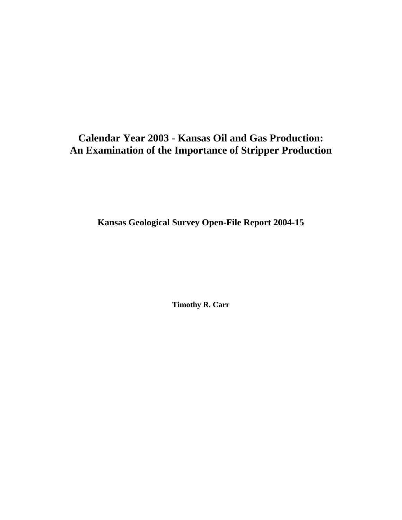# **Calendar Year 2003 - Kansas Oil and Gas Production: An Examination of the Importance of Stripper Production**

**Kansas Geological Survey Open-File Report 2004-15**

**Timothy R. Carr**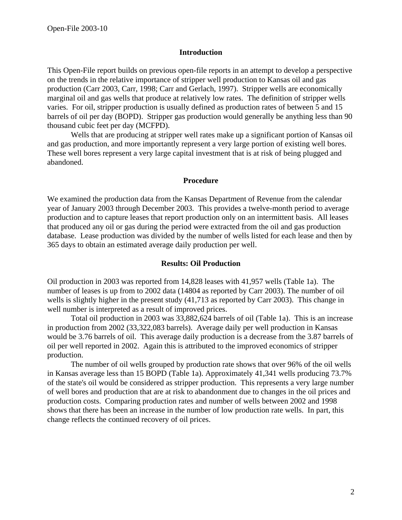#### **Introduction**

This Open-File report builds on previous open-file reports in an attempt to develop a perspective on the trends in the relative importance of stripper well production to Kansas oil and gas production (Carr 2003, Carr, 1998; Carr and Gerlach, 1997). Stripper wells are economically marginal oil and gas wells that produce at relatively low rates. The definition of stripper wells varies. For oil, stripper production is usually defined as production rates of between 5 and 15 barrels of oil per day (BOPD). Stripper gas production would generally be anything less than 90 thousand cubic feet per day (MCFPD).

Wells that are producing at stripper well rates make up a significant portion of Kansas oil and gas production, and more importantly represent a very large portion of existing well bores. These well bores represent a very large capital investment that is at risk of being plugged and abandoned.

#### **Procedure**

We examined the production data from the Kansas Department of Revenue from the calendar year of January 2003 through December 2003. This provides a twelve-month period to average production and to capture leases that report production only on an intermittent basis. All leases that produced any oil or gas during the period were extracted from the oil and gas production database. Lease production was divided by the number of wells listed for each lease and then by 365 days to obtain an estimated average daily production per well.

### **Results: Oil Production**

Oil production in 2003 was reported from 14,828 leases with 41,957 wells (Table 1a). The number of leases is up from to 2002 data (14804 as reported by Carr 2003). The number of oil wells is slightly higher in the present study (41,713 as reported by Carr 2003). This change in well number is interpreted as a result of improved prices.

Total oil production in 2003 was 33,882,624 barrels of oil (Table 1a). This is an increase in production from 2002 (33,322,083 barrels). Average daily per well production in Kansas would be 3.76 barrels of oil. This average daily production is a decrease from the 3.87 barrels of oil per well reported in 2002. Again this is attributed to the improved economics of stripper production.

The number of oil wells grouped by production rate shows that over 96% of the oil wells in Kansas average less than 15 BOPD (Table 1a). Approximately 41,341 wells producing 73.7% of the state's oil would be considered as stripper production. This represents a very large number of well bores and production that are at risk to abandonment due to changes in the oil prices and production costs. Comparing production rates and number of wells between 2002 and 1998 shows that there has been an increase in the number of low production rate wells. In part, this change reflects the continued recovery of oil prices.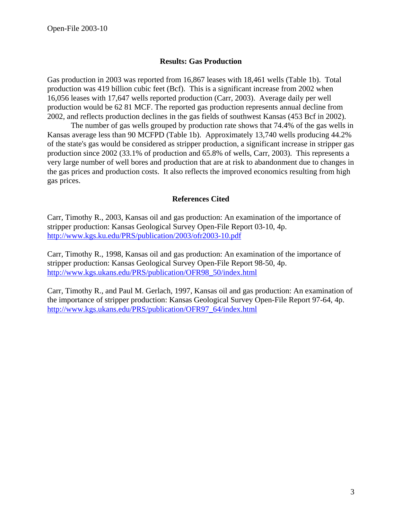## **Results: Gas Production**

Gas production in 2003 was reported from 16,867 leases with 18,461 wells (Table 1b). Total production was 419 billion cubic feet (Bcf). This is a significant increase from 2002 when 16,056 leases with 17,647 wells reported production (Carr, 2003). Average daily per well production would be 62 81 MCF. The reported gas production represents annual decline from 2002, and reflects production declines in the gas fields of southwest Kansas (453 Bcf in 2002).

The number of gas wells grouped by production rate shows that 74.4% of the gas wells in Kansas average less than 90 MCFPD (Table 1b). Approximately 13,740 wells producing 44.2% of the state's gas would be considered as stripper production, a significant increase in stripper gas production since 2002 (33.1% of production and 65.8% of wells, Carr, 2003). This represents a very large number of well bores and production that are at risk to abandonment due to changes in the gas prices and production costs. It also reflects the improved economics resulting from high gas prices.

### **References Cited**

Carr, Timothy R., 2003, Kansas oil and gas production: An examination of the importance of stripper production: Kansas Geological Survey Open-File Report 03-10, 4p. <http://www.kgs.ku.edu/PRS/publication/2003/ofr2003-10.pdf>

Carr, Timothy R., 1998, Kansas oil and gas production: An examination of the importance of stripper production: Kansas Geological Survey Open-File Report 98-50, 4p. [http://www.kgs.ukans.edu/PRS/publication/OFR98\\_50/index.html](http://www.kgs.ukans.edu/PRS/publication/OFR98_50/index.html) 

Carr, Timothy R., and Paul M. Gerlach, 1997, Kansas oil and gas production: An examination of the importance of stripper production: Kansas Geological Survey Open-File Report 97-64, 4p. [http://www.kgs.ukans.edu/PRS/publication/OFR97\\_64/index.html](http://www.kgs.ukans.edu/PRS/publication/OFR97_64/index.html)